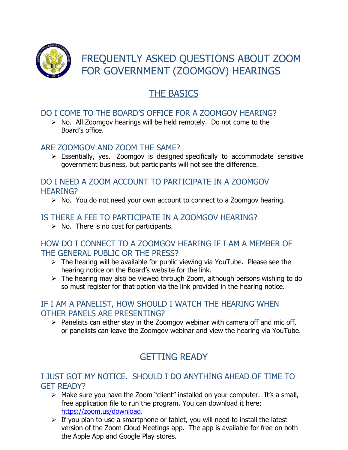

FREQUENTLY ASKED QUESTIONS ABOUT ZOOM FOR GOVERNMENT (ZOOMGOV) HEARINGS

# THE BASICS

## DO I COME TO THE BOARD'S OFFICE FOR A ZOOMGOV HEARING?

 $\triangleright$  No. All Zoomgov hearings will be held remotely. Do not come to the Board's office.

#### ARE ZOOMGOV AND ZOOM THE SAME?

 $\triangleright$  Essentially, yes. Zoomgov is designed specifically to accommodate sensitive government business, but participants will not see the difference.

#### DO I NEED A ZOOM ACCOUNT TO PARTICIPATE IN A ZOOMGOV HEARING?

 $\triangleright$  No. You do not need your own account to connect to a Zoomgov hearing.

#### IS THERE A FEE TO PARTICIPATE IN A ZOOMGOV HEARING?

 $\triangleright$  No. There is no cost for participants.

#### HOW DO I CONNECT TO A ZOOMGOV HEARING IF I AM A MEMBER OF THE GENERAL PUBLIC OR THE PRESS?

- $\triangleright$  The hearing will be available for public viewing via YouTube. Please see the hearing notice on the Board's website for the link.
- $\triangleright$  The hearing may also be viewed through Zoom, although persons wishing to do so must register for that option via the link provided in the hearing notice.

#### IF I AM A PANELIST, HOW SHOULD I WATCH THE HEARING WHEN OTHER PANELS ARE PRESENTING?

 $\triangleright$  Panelists can either stay in the Zoomgov webinar with camera off and mic off, or panelists can leave the Zoomgov webinar and view the hearing via YouTube.

## GETTING READY

#### I JUST GOT MY NOTICE. SHOULD I DO ANYTHING AHEAD OF TIME TO GET READY?

- $\triangleright$  Make sure you have the Zoom "client" installed on your computer. It's a small, free application file to run the program. You can download it here: [https://zoom.us/download.](https://zoom.us/download)
- $\triangleright$  If you plan to use a smartphone or tablet, you will need to install the latest version of the Zoom Cloud Meetings app. The app is available for free on both the Apple App and Google Play stores.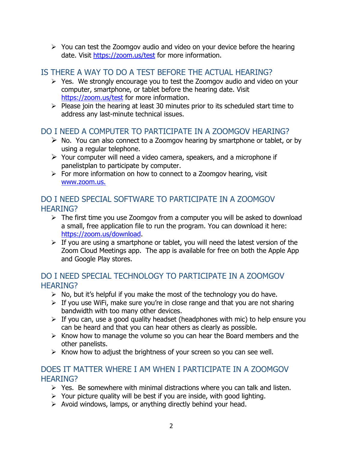$\triangleright$  You can test the Zoomgov audio and video on your device before the hearing date. Visit <https://zoom.us/test> for more information.

## IS THERE A WAY TO DO A TEST BEFORE THE ACTUAL HEARING?

- $\triangleright$  Yes. We strongly encourage you to test the Zoomgov audio and video on your computer, smartphone, or tablet before the hearing date. Visit <https://zoom.us/test> for more information.
- $\triangleright$  Please join the hearing at least 30 minutes prior to its scheduled start time to address any last-minute technical issues.

### DO I NEED A COMPUTER TO PARTICIPATE IN A ZOOMGOV HEARING?

- $\triangleright$  No. You can also connect to a Zoomgov hearing by smartphone or tablet, or by using a regular telephone.
- $\triangleright$  Your computer will need a video camera, speakers, and a microphone if panelistplan to participate by computer.
- $\triangleright$  For more information on how to connect to a Zoomgov hearing, visit [www.zoom.us.](http://www.zoom.us./)

## DO I NEED SPECIAL SOFTWARE TO PARTICIPATE IN A ZOOMGOV HEARING?

- $\triangleright$  The first time you use Zoomgov from a computer you will be asked to download a small, free application file to run the program. You can download it here: [https://zoom.us/download.](https://zoom.us/download)
- $\triangleright$  If you are using a smartphone or tablet, you will need the latest version of the Zoom Cloud Meetings app. The app is available for free on both the Apple App and Google Play stores.

## DO I NEED SPECIAL TECHNOLOGY TO PARTICIPATE IN A ZOOMGOV HEARING?

- $\triangleright$  No, but it's helpful if you make the most of the technology you do have.
- $\triangleright$  If you use WiFi, make sure you're in close range and that you are not sharing bandwidth with too many other devices.
- $\triangleright$  If you can, use a good quality headset (headphones with mic) to help ensure you can be heard and that you can hear others as clearly as possible.
- $\triangleright$  Know how to manage the volume so you can hear the Board members and the other panelists.
- $\triangleright$  Know how to adjust the brightness of your screen so you can see well.

#### DOES IT MATTER WHERE I AM WHEN I PARTICIPATE IN A ZOOMGOV HEARING?

- $\triangleright$  Yes. Be somewhere with minimal distractions where you can talk and listen.
- $\triangleright$  Your picture quality will be best if you are inside, with good lighting.
- $\triangleright$  Avoid windows, lamps, or anything directly behind your head.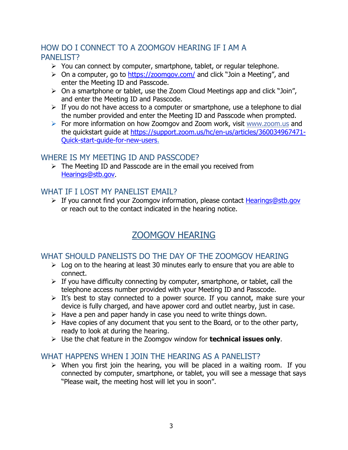## HOW DO I CONNECT TO A ZOOMGOV HEARING IF I AM A PANEL IST?

- $\triangleright$  You can connect by computer, smartphone, tablet, or regular telephone.
- $\triangleright$  On a computer, go to <https://zoomgov.com/> and click "Join a Meeting", and enter the Meeting ID and Passcode.
- $\triangleright$  On a smartphone or tablet, use the Zoom Cloud Meetings app and click "Join", and enter the Meeting ID and Passcode.
- $\triangleright$  If you do not have access to a computer or smartphone, use a telephone to dial the number provided and enter the Meeting ID and Passcode when prompted.
- For more information on how Zoomgov and Zoom work, visit [www.zoom.us](http://www.zoom.us/) and the quickstart guide at [https://support.zoom.us/hc/en-us/articles/360034967471-](https://support.zoom.us/hc/en-us/articles/360034967471-Quick-start-guide-for-new-users) [Quick-start-guide-for-new-users.](https://support.zoom.us/hc/en-us/articles/360034967471-Quick-start-guide-for-new-users)

#### WHERE IS MY MEETING ID AND PASSCODE?

 $\triangleright$  The Meeting ID and Passcode are in the email you received from [Hearings@stb.gov.](mailto:Hearings@stb.gov)

#### WHAT IF I LOST MY PANELIST EMAIL?

 $\triangleright$  If you cannot find your Zoomgov information, please contact [Hearings@stb.gov](mailto:Hearings@stb.gov) or reach out to the contact indicated in the hearing notice.

## ZOOMGOV HEARING

#### WHAT SHOULD PANELISTS DO THE DAY OF THE ZOOMGOV HEARING

- $\triangleright$  Log on to the hearing at least 30 minutes early to ensure that you are able to connect.
- $\triangleright$  If you have difficulty connecting by computer, smartphone, or tablet, call the telephone access number provided with your Meeting ID and Passcode.
- $\triangleright$  It's best to stay connected to a power source. If you cannot, make sure your device is fully charged, and have apower cord and outlet nearby, just in case.
- $\triangleright$  Have a pen and paper handy in case you need to write things down.
- $\triangleright$  Have copies of any document that you sent to the Board, or to the other party, ready to look at during the hearing.
- Use the chat feature in the Zoomgov window for **technical issues only**.

#### WHAT HAPPENS WHEN I JOIN THE HEARING AS A PANELIST?

 $\triangleright$  When you first join the hearing, you will be placed in a waiting room. If you connected by computer, smartphone, or tablet, you will see a message that says "Please wait, the meeting host will let you in soon".